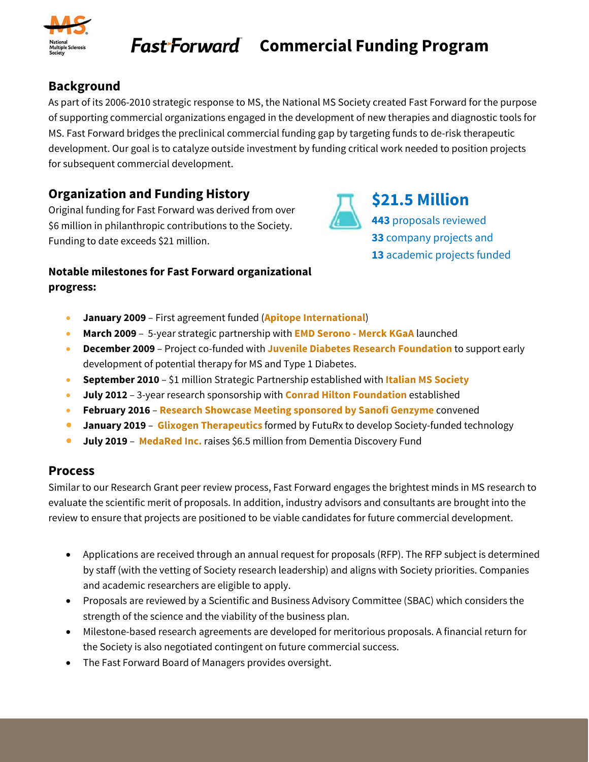

**\$21.5 Million** 

**443** proposals reviewed **33** company projects and **13** academic projects funded

### **Background**

As part of its 2006-2010 strategic response to MS, the National MS Society created Fast Forward for the purpose of supporting commercial organizations engaged in the development of new therapies and diagnostic tools for MS. Fast Forward bridges the preclinical commercial funding gap by targeting funds to de-risk therapeutic development. Our goal is to catalyze outside investment by funding critical work needed to position projects for subsequent commercial development.

# **Organization and Funding History**

Original funding for Fast Forward was derived from over \$6 million in philanthropic contributions to the Society. Funding to date exceeds \$21 million.

#### **Notable milestones for Fast Forward organizational progress:**

- **January 2009** First agreement funded (**Apitope International**)
- **March 2009** 5-year strategic partnership with **EMD Serono Merck KGaA** launched
- **December 2009** Project co-funded with **Juvenile Diabetes Research Foundation** to support early development of potential therapy for MS and Type 1 Diabetes.
- **September 2010** \$1 million Strategic Partnership established with **Italian MS Society**
- **July 2012** 3-year research sponsorship with **Conrad Hilton Foundation** established
- **February 2016 Research Showcase Meeting sponsored by Sanofi Genzyme** convened
- **January 2019 Glixogen Therapeutics** formed by FutuRx to develop Society-funded technology
- **July 2019 MedaRed Inc.** raises \$6.5 million from Dementia Discovery Fund

### **Process**

Similar to our Research Grant peer review process, Fast Forward engages the brightest minds in MS research to evaluate the scientific merit of proposals. In addition, industry advisors and consultants are brought into the review to ensure that projects are positioned to be viable candidates for future commercial development.

- Applications are received through an annual request for proposals (RFP). The RFP subject is determined by staff (with the vetting of Society research leadership) and aligns with Society priorities. Companies and academic researchers are eligible to apply.
- Proposals are reviewed by a Scientific and Business Advisory Committee (SBAC) which considers the strength of the science and the viability of the business plan.
- Milestone-based research agreements are developed for meritorious proposals. A financial return for the Society is also negotiated contingent on future commercial success.
- The Fast Forward Board of Managers provides oversight.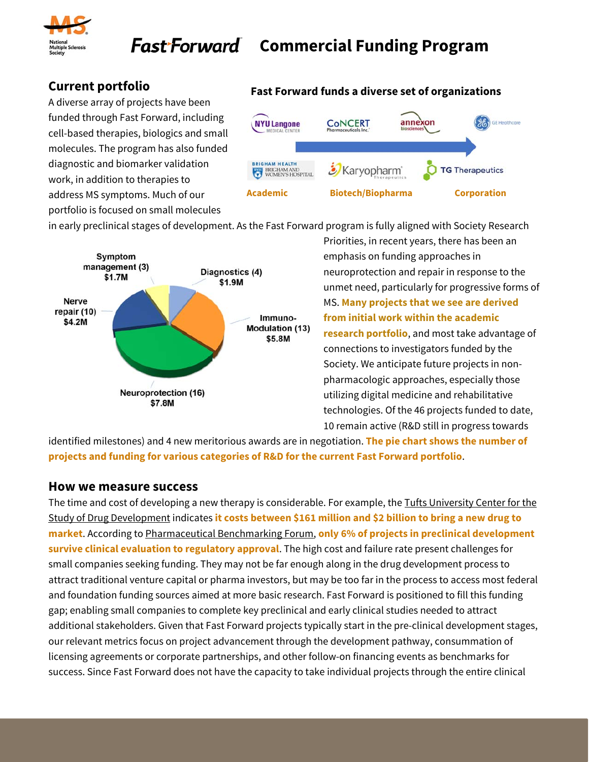

### **Current portfolio**

A diverse array of projects have been funded through Fast Forward, including cell-based therapies, biologics and small molecules. The program has also funded diagnostic and biomarker validation work, in addition to therapies to address MS symptoms. Much of our portfolio is focused on small molecules

#### **Fast Forward funds a diverse set of organizations**



in early preclinical stages of development. As the Fast Forward program is fully aligned with Society Research



Priorities, in recent years, there has been an emphasis on funding approaches in neuroprotection and repair in response to the unmet need, particularly for progressive forms of MS. **Many projects that we see are derived from initial work within the academic research portfolio**, and most take advantage of connections to investigators funded by the Society. We anticipate future projects in nonpharmacologic approaches, especially those utilizing digital medicine and rehabilitative technologies. Of the 46 projects funded to date, 10 remain active (R&D still in progress towards

identified milestones) and 4 new meritorious awards are in negotiation. **The pie chart shows the number of projects and funding for various categories of R&D for the current Fast Forward portfolio**.

#### **How we measure success**

The time and cost of developing a new therapy is considerable. For example, the Tufts University Center for the Study of Drug Development indicates **it costs between \$161 million and \$2 billion to bring a new drug to market**. According to Pharmaceutical Benchmarking Forum, **only 6% of projects in preclinical development survive clinical evaluation to regulatory approval**. The high cost and failure rate present challenges for small companies seeking funding. They may not be far enough along in the drug development process to attract traditional venture capital or pharma investors, but may be too far in the process to access most federal and foundation funding sources aimed at more basic research. Fast Forward is positioned to fill this funding gap; enabling small companies to complete key preclinical and early clinical studies needed to attract additional stakeholders. Given that Fast Forward projects typically start in the pre-clinical development stages, our relevant metrics focus on project advancement through the development pathway, consummation of licensing agreements or corporate partnerships, and other follow-on financing events as benchmarks for success. Since Fast Forward does not have the capacity to take individual projects through the entire clinical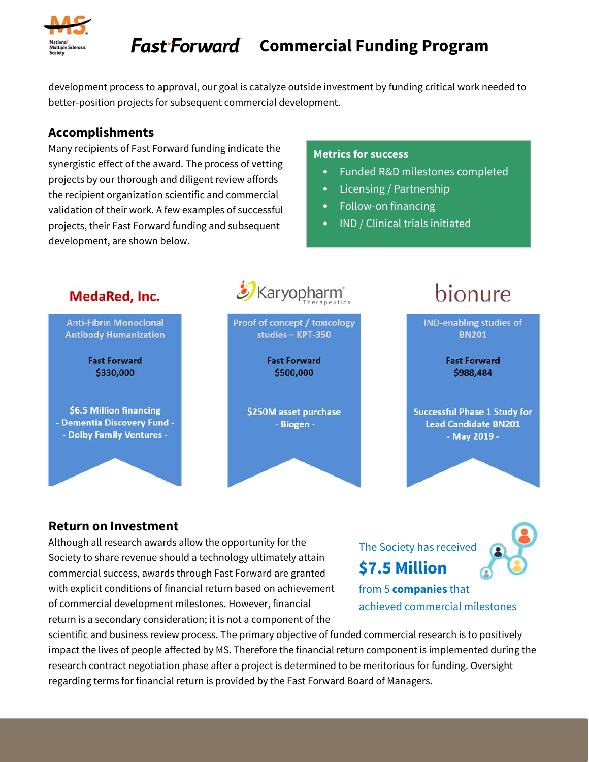

development process to approval, our goal is catalyze outside investment by funding critical work needed to better-position projects for subsequent commercial development.

#### **Accomplishments**

Many recipients of Fast Forward funding indicate the synergistic effect of the award. The process of vetting projects by our thorough and diligent review affords the recipient organization scientific and commercial validation of their work. A few examples of successful projects, their Fast Forward funding and subsequent development, are shown below.

#### **Metrics for success**

- Funded R&D milestones completed
- Licensing / Partnership
- Follow-on financing
- IND / Clinical trials initiated



#### **Return on Investment**

Although all research awards allow the opportunity for the Society to share revenue should a technology ultimately attain commercial success, awards through Fast Forward are granted with explicit conditions of financial return based on achievement of commercial development milestones. However, financial return is a secondary consideration; it is not a component of the

The Society has received **\$7.5 Million** 



from 5 **companies** that achieved commercial milestones

scientific and business review process. The primary objective of funded commercial research is to positively impact the lives of people affected by MS. Therefore the financial return component is implemented during the research contract negotiation phase after a project is determined to be meritorious for funding. Oversight regarding terms for financial return is provided by the Fast Forward Board of Managers.